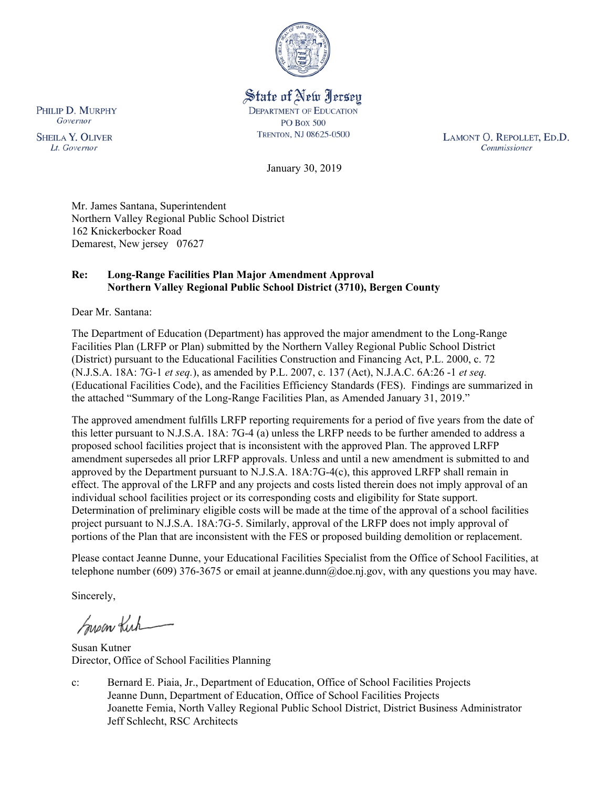

State of New Jersey **DEPARTMENT OF EDUCATION PO Box 500** TRENTON, NJ 08625-0500

LAMONT O. REPOLLET, ED.D. Commissioner

January 30, 2019

Mr. James Santana, Superintendent Northern Valley Regional Public School District 162 Knickerbocker Road Demarest, New jersey 07627

### **Re: Long-Range Facilities Plan Major Amendment Approval Northern Valley Regional Public School District (3710), Bergen County**

Dear Mr. Santana:

The Department of Education (Department) has approved the major amendment to the Long-Range Facilities Plan (LRFP or Plan) submitted by the Northern Valley Regional Public School District (District) pursuant to the Educational Facilities Construction and Financing Act, P.L. 2000, c. 72 (N.J.S.A. 18A: 7G-1 *et seq.*), as amended by P.L. 2007, c. 137 (Act), N.J.A.C. 6A:26 -1 *et seq.* (Educational Facilities Code), and the Facilities Efficiency Standards (FES). Findings are summarized in the attached "Summary of the Long-Range Facilities Plan, as Amended January 31, 2019."

The approved amendment fulfills LRFP reporting requirements for a period of five years from the date of this letter pursuant to N.J.S.A. 18A: 7G-4 (a) unless the LRFP needs to be further amended to address a proposed school facilities project that is inconsistent with the approved Plan. The approved LRFP amendment supersedes all prior LRFP approvals. Unless and until a new amendment is submitted to and approved by the Department pursuant to N.J.S.A. 18A:7G-4(c), this approved LRFP shall remain in effect. The approval of the LRFP and any projects and costs listed therein does not imply approval of an individual school facilities project or its corresponding costs and eligibility for State support. Determination of preliminary eligible costs will be made at the time of the approval of a school facilities project pursuant to N.J.S.A. 18A:7G-5. Similarly, approval of the LRFP does not imply approval of portions of the Plan that are inconsistent with the FES or proposed building demolition or replacement.

Please contact Jeanne Dunne, your Educational Facilities Specialist from the Office of School Facilities, at telephone number (609) 376-3675 or email at jeanne.dunn@doe.nj.gov, with any questions you may have.

Sincerely,

Susan Kirk

Susan Kutner Director, Office of School Facilities Planning

c: Bernard E. Piaia, Jr., Department of Education, Office of School Facilities Projects Jeanne Dunn, Department of Education, Office of School Facilities Projects Joanette Femia, North Valley Regional Public School District, District Business Administrator Jeff Schlecht, RSC Architects

PHILIP D. MURPHY Governor

**SHEILA Y. OLIVER** Lt. Governor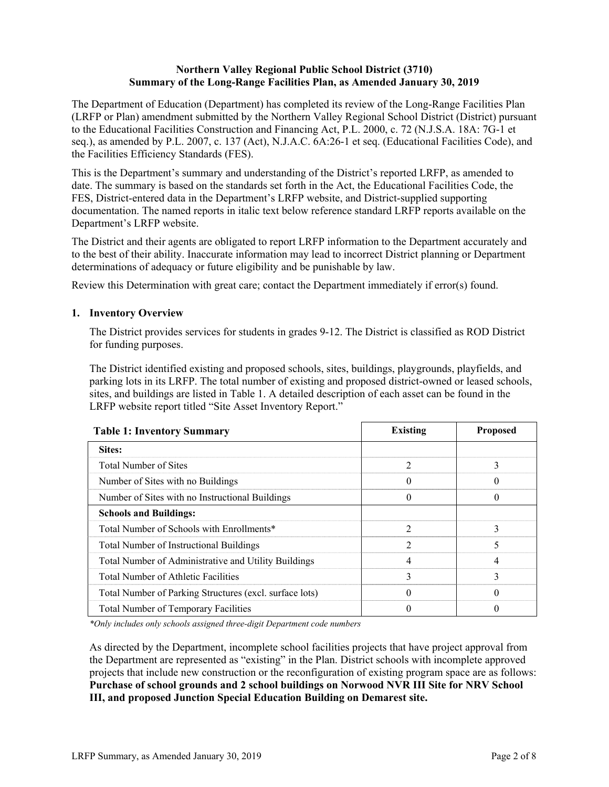## **Northern Valley Regional Public School District (3710) Summary of the Long-Range Facilities Plan, as Amended January 30, 2019**

The Department of Education (Department) has completed its review of the Long-Range Facilities Plan (LRFP or Plan) amendment submitted by the Northern Valley Regional School District (District) pursuant to the Educational Facilities Construction and Financing Act, P.L. 2000, c. 72 (N.J.S.A. 18A: 7G-1 et seq.), as amended by P.L. 2007, c. 137 (Act), N.J.A.C. 6A:26-1 et seq. (Educational Facilities Code), and the Facilities Efficiency Standards (FES).

This is the Department's summary and understanding of the District's reported LRFP, as amended to date. The summary is based on the standards set forth in the Act, the Educational Facilities Code, the FES, District-entered data in the Department's LRFP website, and District-supplied supporting documentation. The named reports in italic text below reference standard LRFP reports available on the Department's LRFP website.

The District and their agents are obligated to report LRFP information to the Department accurately and to the best of their ability. Inaccurate information may lead to incorrect District planning or Department determinations of adequacy or future eligibility and be punishable by law.

Review this Determination with great care; contact the Department immediately if error(s) found.

## **1. Inventory Overview**

The District provides services for students in grades 9-12. The District is classified as ROD District for funding purposes.

The District identified existing and proposed schools, sites, buildings, playgrounds, playfields, and parking lots in its LRFP. The total number of existing and proposed district-owned or leased schools, sites, and buildings are listed in Table 1. A detailed description of each asset can be found in the LRFP website report titled "Site Asset Inventory Report."

| <b>Table 1: Inventory Summary</b>                       | <b>Existing</b> | <b>Proposed</b> |
|---------------------------------------------------------|-----------------|-----------------|
| Sites:                                                  |                 |                 |
| Total Number of Sites                                   |                 |                 |
| Number of Sites with no Buildings                       |                 |                 |
| Number of Sites with no Instructional Buildings         |                 |                 |
| <b>Schools and Buildings:</b>                           |                 |                 |
| Total Number of Schools with Enrollments*               | $\mathfrak{D}$  |                 |
| Total Number of Instructional Buildings                 | $\mathfrak{D}$  |                 |
| Total Number of Administrative and Utility Buildings    | 4               |                 |
| Total Number of Athletic Facilities                     | 3               |                 |
| Total Number of Parking Structures (excl. surface lots) |                 |                 |
| Total Number of Temporary Facilities                    |                 |                 |

*\*Only includes only schools assigned three-digit Department code numbers* 

As directed by the Department, incomplete school facilities projects that have project approval from the Department are represented as "existing" in the Plan. District schools with incomplete approved projects that include new construction or the reconfiguration of existing program space are as follows: **Purchase of school grounds and 2 school buildings on Norwood NVR III Site for NRV School III, and proposed Junction Special Education Building on Demarest site.**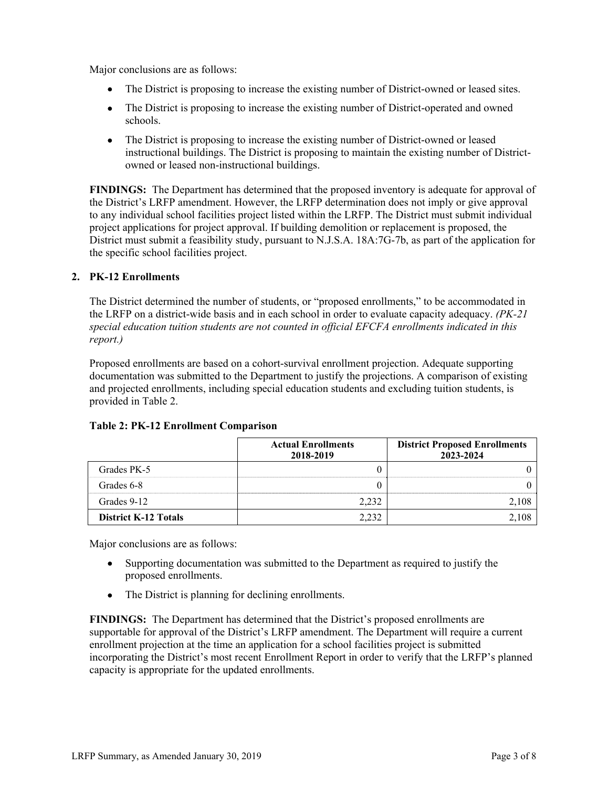Major conclusions are as follows:

- The District is proposing to increase the existing number of District-owned or leased sites.
- The District is proposing to increase the existing number of District-operated and owned schools.
- The District is proposing to increase the existing number of District-owned or leased instructional buildings. The District is proposing to maintain the existing number of Districtowned or leased non-instructional buildings.

**FINDINGS:** The Department has determined that the proposed inventory is adequate for approval of the District's LRFP amendment. However, the LRFP determination does not imply or give approval to any individual school facilities project listed within the LRFP. The District must submit individual project applications for project approval. If building demolition or replacement is proposed, the District must submit a feasibility study, pursuant to N.J.S.A. 18A:7G-7b, as part of the application for the specific school facilities project.

# **2. PK-12 Enrollments**

The District determined the number of students, or "proposed enrollments," to be accommodated in the LRFP on a district-wide basis and in each school in order to evaluate capacity adequacy. *(PK-21 special education tuition students are not counted in official EFCFA enrollments indicated in this report.)*

Proposed enrollments are based on a cohort-survival enrollment projection. Adequate supporting documentation was submitted to the Department to justify the projections. A comparison of existing and projected enrollments, including special education students and excluding tuition students, is provided in Table 2.

|                             | <b>Actual Enrollments</b><br>2018-2019 | <b>District Proposed Enrollments</b><br>2023-2024 |
|-----------------------------|----------------------------------------|---------------------------------------------------|
| Grades PK-5                 |                                        |                                                   |
| Grades 6-8                  |                                        |                                                   |
| Grades 9-12                 | 2.232                                  |                                                   |
| <b>District K-12 Totals</b> | 232                                    |                                                   |

#### **Table 2: PK-12 Enrollment Comparison**

Major conclusions are as follows:

- Supporting documentation was submitted to the Department as required to justify the proposed enrollments.
- The District is planning for declining enrollments.

**FINDINGS:** The Department has determined that the District's proposed enrollments are supportable for approval of the District's LRFP amendment. The Department will require a current enrollment projection at the time an application for a school facilities project is submitted incorporating the District's most recent Enrollment Report in order to verify that the LRFP's planned capacity is appropriate for the updated enrollments.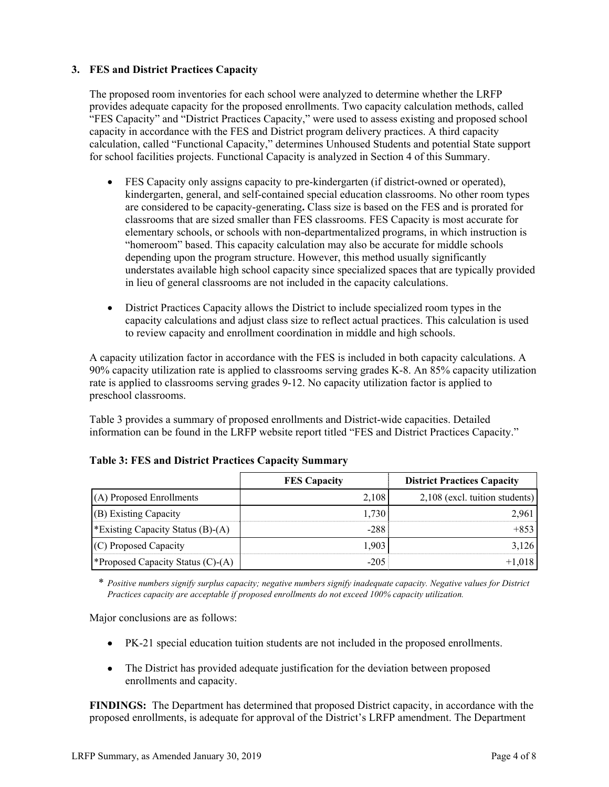## **3. FES and District Practices Capacity**

The proposed room inventories for each school were analyzed to determine whether the LRFP provides adequate capacity for the proposed enrollments. Two capacity calculation methods, called "FES Capacity" and "District Practices Capacity," were used to assess existing and proposed school capacity in accordance with the FES and District program delivery practices. A third capacity calculation, called "Functional Capacity," determines Unhoused Students and potential State support for school facilities projects. Functional Capacity is analyzed in Section 4 of this Summary.

- FES Capacity only assigns capacity to pre-kindergarten (if district-owned or operated), kindergarten, general, and self-contained special education classrooms. No other room types are considered to be capacity-generating**.** Class size is based on the FES and is prorated for classrooms that are sized smaller than FES classrooms. FES Capacity is most accurate for elementary schools, or schools with non-departmentalized programs, in which instruction is "homeroom" based. This capacity calculation may also be accurate for middle schools depending upon the program structure. However, this method usually significantly understates available high school capacity since specialized spaces that are typically provided in lieu of general classrooms are not included in the capacity calculations.
- District Practices Capacity allows the District to include specialized room types in the capacity calculations and adjust class size to reflect actual practices. This calculation is used to review capacity and enrollment coordination in middle and high schools.

A capacity utilization factor in accordance with the FES is included in both capacity calculations. A 90% capacity utilization rate is applied to classrooms serving grades K-8. An 85% capacity utilization rate is applied to classrooms serving grades 9-12. No capacity utilization factor is applied to preschool classrooms.

Table 3 provides a summary of proposed enrollments and District-wide capacities. Detailed information can be found in the LRFP website report titled "FES and District Practices Capacity."

|                                         | <b>FES Capacity</b> | <b>District Practices Capacity</b> |
|-----------------------------------------|---------------------|------------------------------------|
| (A) Proposed Enrollments                | 2,108               | 2,108 (excl. tuition students)     |
| (B) Existing Capacity                   | 1.730               | 2.961                              |
| *Existing Capacity Status $(B)$ - $(A)$ | -288                | $+8.53$                            |
| (C) Proposed Capacity                   | 1.903               | 3.126                              |
| *Proposed Capacity Status $(C)$ - $(A)$ | $-205$              | $+1.018$                           |

#### **Table 3: FES and District Practices Capacity Summary**

\* *Positive numbers signify surplus capacity; negative numbers signify inadequate capacity. Negative values for District Practices capacity are acceptable if proposed enrollments do not exceed 100% capacity utilization.*

Major conclusions are as follows:

- PK-21 special education tuition students are not included in the proposed enrollments.
- The District has provided adequate justification for the deviation between proposed enrollments and capacity.

**FINDINGS:** The Department has determined that proposed District capacity, in accordance with the proposed enrollments, is adequate for approval of the District's LRFP amendment. The Department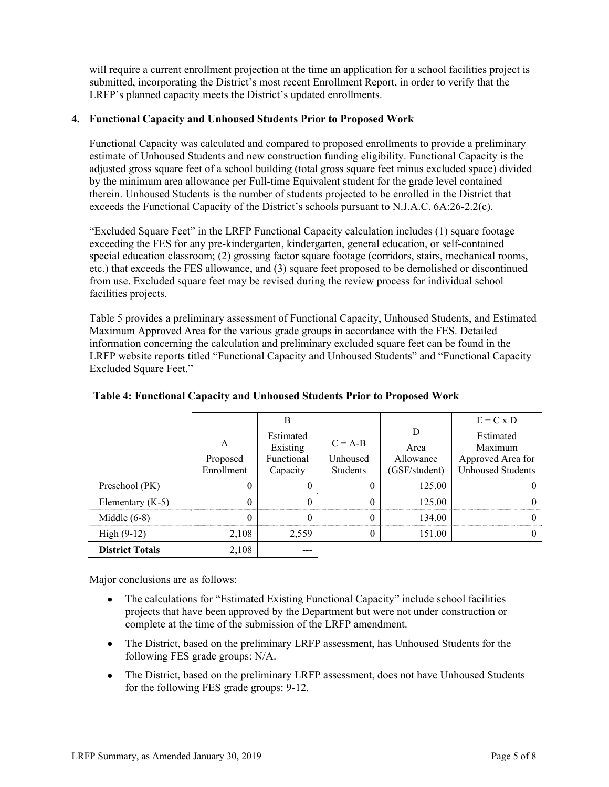will require a current enrollment projection at the time an application for a school facilities project is submitted, incorporating the District's most recent Enrollment Report, in order to verify that the LRFP's planned capacity meets the District's updated enrollments.

### **4. Functional Capacity and Unhoused Students Prior to Proposed Work**

Functional Capacity was calculated and compared to proposed enrollments to provide a preliminary estimate of Unhoused Students and new construction funding eligibility. Functional Capacity is the adjusted gross square feet of a school building (total gross square feet minus excluded space) divided by the minimum area allowance per Full-time Equivalent student for the grade level contained therein. Unhoused Students is the number of students projected to be enrolled in the District that exceeds the Functional Capacity of the District's schools pursuant to N.J.A.C. 6A:26-2.2(c).

"Excluded Square Feet" in the LRFP Functional Capacity calculation includes (1) square footage exceeding the FES for any pre-kindergarten, kindergarten, general education, or self-contained special education classroom; (2) grossing factor square footage (corridors, stairs, mechanical rooms, etc.) that exceeds the FES allowance, and (3) square feet proposed to be demolished or discontinued from use. Excluded square feet may be revised during the review process for individual school facilities projects.

Table 5 provides a preliminary assessment of Functional Capacity, Unhoused Students, and Estimated Maximum Approved Area for the various grade groups in accordance with the FES. Detailed information concerning the calculation and preliminary excluded square feet can be found in the LRFP website reports titled "Functional Capacity and Unhoused Students" and "Functional Capacity Excluded Square Feet."

|                        |                             | B                                               |                                          |                                         | $E = C x D$                                                           |
|------------------------|-----------------------------|-------------------------------------------------|------------------------------------------|-----------------------------------------|-----------------------------------------------------------------------|
|                        | A<br>Proposed<br>Enrollment | Estimated<br>Existing<br>Functional<br>Capacity | $C = A-B$<br>Unhoused<br><b>Students</b> | D<br>Area<br>Allowance<br>(GSF/student) | Estimated<br>Maximum<br>Approved Area for<br><b>Unhoused Students</b> |
| Preschool (PK)         | 0                           |                                                 | 0                                        | 125.00                                  |                                                                       |
| Elementary $(K-5)$     | 0                           | 0                                               | 0                                        | 125.00                                  |                                                                       |
| Middle $(6-8)$         | $\theta$                    | 0                                               | $\theta$                                 | 134.00                                  |                                                                       |
| $High (9-12)$          | 2,108                       | 2,559                                           | $\theta$                                 | 151.00                                  |                                                                       |
| <b>District Totals</b> | 2,108                       | ---                                             |                                          |                                         |                                                                       |

**Table 4: Functional Capacity and Unhoused Students Prior to Proposed Work** 

Major conclusions are as follows:

- The calculations for "Estimated Existing Functional Capacity" include school facilities projects that have been approved by the Department but were not under construction or complete at the time of the submission of the LRFP amendment.
- The District, based on the preliminary LRFP assessment, has Unhoused Students for the following FES grade groups: N/A.
- The District, based on the preliminary LRFP assessment, does not have Unhoused Students for the following FES grade groups: 9-12.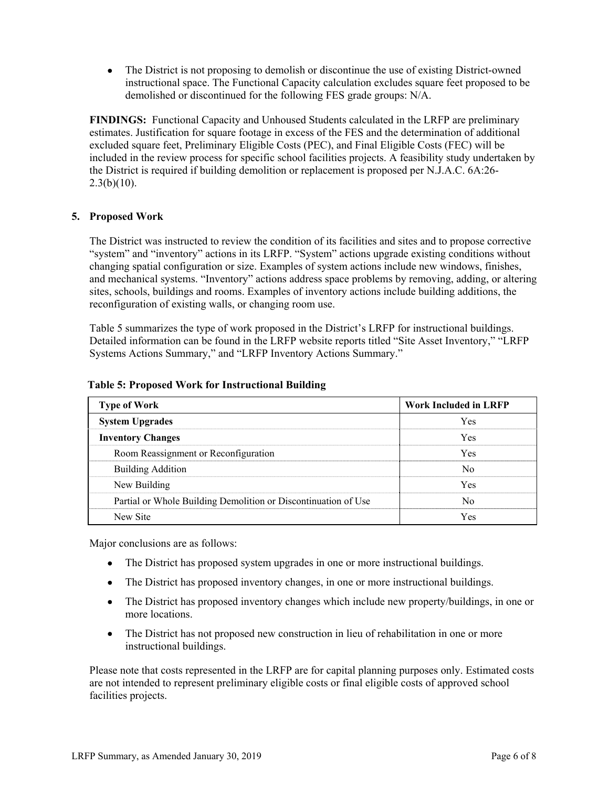• The District is not proposing to demolish or discontinue the use of existing District-owned instructional space. The Functional Capacity calculation excludes square feet proposed to be demolished or discontinued for the following FES grade groups: N/A.

**FINDINGS:** Functional Capacity and Unhoused Students calculated in the LRFP are preliminary estimates. Justification for square footage in excess of the FES and the determination of additional excluded square feet, Preliminary Eligible Costs (PEC), and Final Eligible Costs (FEC) will be included in the review process for specific school facilities projects. A feasibility study undertaken by the District is required if building demolition or replacement is proposed per N.J.A.C. 6A:26-  $2.3(b)(10)$ .

## **5. Proposed Work**

The District was instructed to review the condition of its facilities and sites and to propose corrective "system" and "inventory" actions in its LRFP. "System" actions upgrade existing conditions without changing spatial configuration or size. Examples of system actions include new windows, finishes, and mechanical systems. "Inventory" actions address space problems by removing, adding, or altering sites, schools, buildings and rooms. Examples of inventory actions include building additions, the reconfiguration of existing walls, or changing room use.

Table 5 summarizes the type of work proposed in the District's LRFP for instructional buildings. Detailed information can be found in the LRFP website reports titled "Site Asset Inventory," "LRFP Systems Actions Summary," and "LRFP Inventory Actions Summary."

| <b>Type of Work</b>                                            | <b>Work Included in LRFP</b> |
|----------------------------------------------------------------|------------------------------|
| <b>System Upgrades</b>                                         | <b>Yes</b>                   |
| <b>Inventory Changes</b>                                       | Yes                          |
| Room Reassignment or Reconfiguration                           | Yes                          |
| <b>Building Addition</b>                                       | N٥                           |
| New Building                                                   | <b>Yes</b>                   |
| Partial or Whole Building Demolition or Discontinuation of Use | Nο                           |
| New Site                                                       | Yes                          |

**Table 5: Proposed Work for Instructional Building** 

Major conclusions are as follows:

- The District has proposed system upgrades in one or more instructional buildings.
- The District has proposed inventory changes, in one or more instructional buildings.
- The District has proposed inventory changes which include new property/buildings, in one or more locations.
- The District has not proposed new construction in lieu of rehabilitation in one or more instructional buildings.

Please note that costs represented in the LRFP are for capital planning purposes only. Estimated costs are not intended to represent preliminary eligible costs or final eligible costs of approved school facilities projects.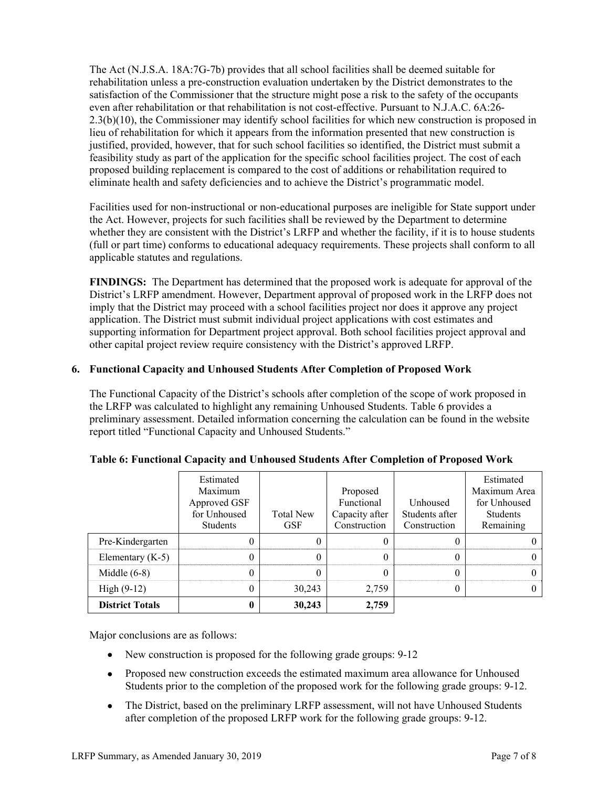The Act (N.J.S.A. 18A:7G-7b) provides that all school facilities shall be deemed suitable for rehabilitation unless a pre-construction evaluation undertaken by the District demonstrates to the satisfaction of the Commissioner that the structure might pose a risk to the safety of the occupants even after rehabilitation or that rehabilitation is not cost-effective. Pursuant to N.J.A.C. 6A:26- 2.3(b)(10), the Commissioner may identify school facilities for which new construction is proposed in lieu of rehabilitation for which it appears from the information presented that new construction is justified, provided, however, that for such school facilities so identified, the District must submit a feasibility study as part of the application for the specific school facilities project. The cost of each proposed building replacement is compared to the cost of additions or rehabilitation required to eliminate health and safety deficiencies and to achieve the District's programmatic model.

Facilities used for non-instructional or non-educational purposes are ineligible for State support under the Act. However, projects for such facilities shall be reviewed by the Department to determine whether they are consistent with the District's LRFP and whether the facility, if it is to house students (full or part time) conforms to educational adequacy requirements. These projects shall conform to all applicable statutes and regulations.

**FINDINGS:** The Department has determined that the proposed work is adequate for approval of the District's LRFP amendment. However, Department approval of proposed work in the LRFP does not imply that the District may proceed with a school facilities project nor does it approve any project application. The District must submit individual project applications with cost estimates and supporting information for Department project approval. Both school facilities project approval and other capital project review require consistency with the District's approved LRFP.

# **6. Functional Capacity and Unhoused Students After Completion of Proposed Work**

The Functional Capacity of the District's schools after completion of the scope of work proposed in the LRFP was calculated to highlight any remaining Unhoused Students. Table 6 provides a preliminary assessment. Detailed information concerning the calculation can be found in the website report titled "Functional Capacity and Unhoused Students."

|                        | Estimated<br>Maximum<br>Approved GSF<br>for Unhoused<br><b>Students</b> | <b>Total New</b><br><b>GSF</b> | Proposed<br>Functional<br>Capacity after<br>Construction | Unhoused<br>Students after<br>Construction | Estimated<br>Maximum Area<br>for Unhoused<br><b>Students</b><br>Remaining |
|------------------------|-------------------------------------------------------------------------|--------------------------------|----------------------------------------------------------|--------------------------------------------|---------------------------------------------------------------------------|
| Pre-Kindergarten       |                                                                         |                                |                                                          |                                            |                                                                           |
| Elementary $(K-5)$     |                                                                         |                                |                                                          |                                            |                                                                           |
| Middle $(6-8)$         | U                                                                       |                                |                                                          |                                            |                                                                           |
| High $(9-12)$          | 0                                                                       | 30,243                         | 2,759                                                    |                                            |                                                                           |
| <b>District Totals</b> |                                                                         | 30,243                         | 2,759                                                    |                                            |                                                                           |

# **Table 6: Functional Capacity and Unhoused Students After Completion of Proposed Work**

Major conclusions are as follows:

- New construction is proposed for the following grade groups: 9-12
- Proposed new construction exceeds the estimated maximum area allowance for Unhoused Students prior to the completion of the proposed work for the following grade groups: 9-12.
- The District, based on the preliminary LRFP assessment, will not have Unhoused Students after completion of the proposed LRFP work for the following grade groups: 9-12.